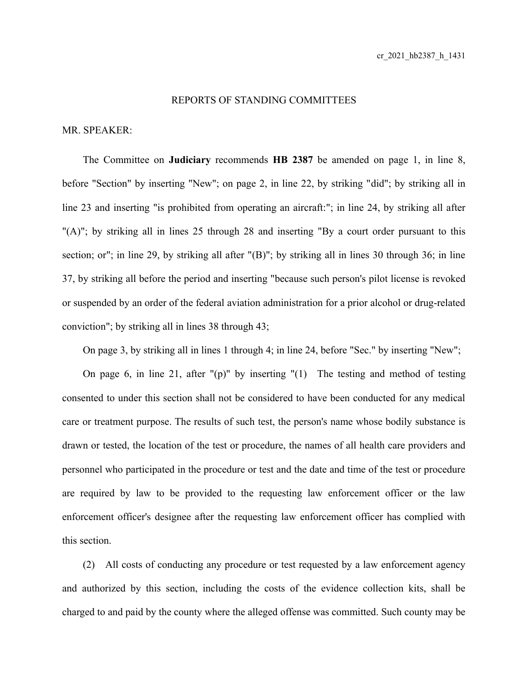## REPORTS OF STANDING COMMITTEES

## MR. SPEAKER:

The Committee on **Judiciary** recommends **HB 2387** be amended on page 1, in line 8, before "Section" by inserting "New"; on page 2, in line 22, by striking "did"; by striking all in line 23 and inserting "is prohibited from operating an aircraft:"; in line 24, by striking all after "(A)"; by striking all in lines 25 through 28 and inserting "By a court order pursuant to this section; or"; in line 29, by striking all after "(B)"; by striking all in lines 30 through 36; in line 37, by striking all before the period and inserting "because such person's pilot license is revoked or suspended by an order of the federal aviation administration for a prior alcohol or drug-related conviction"; by striking all in lines 38 through 43;

On page 3, by striking all in lines 1 through 4; in line 24, before "Sec." by inserting "New";

On page 6, in line 21, after "(p)" by inserting "(1) The testing and method of testing consented to under this section shall not be considered to have been conducted for any medical care or treatment purpose. The results of such test, the person's name whose bodily substance is drawn or tested, the location of the test or procedure, the names of all health care providers and personnel who participated in the procedure or test and the date and time of the test or procedure are required by law to be provided to the requesting law enforcement officer or the law enforcement officer's designee after the requesting law enforcement officer has complied with this section.

(2) All costs of conducting any procedure or test requested by a law enforcement agency and authorized by this section, including the costs of the evidence collection kits, shall be charged to and paid by the county where the alleged offense was committed. Such county may be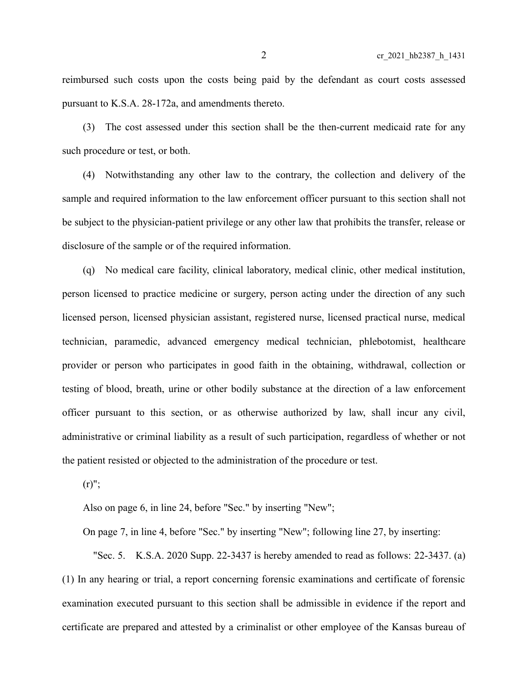reimbursed such costs upon the costs being paid by the defendant as court costs assessed pursuant to K.S.A. 28-172a, and amendments thereto.

(3) The cost assessed under this section shall be the then-current medicaid rate for any such procedure or test, or both.

(4) Notwithstanding any other law to the contrary, the collection and delivery of the sample and required information to the law enforcement officer pursuant to this section shall not be subject to the physician-patient privilege or any other law that prohibits the transfer, release or disclosure of the sample or of the required information.

(q) No medical care facility, clinical laboratory, medical clinic, other medical institution, person licensed to practice medicine or surgery, person acting under the direction of any such licensed person, licensed physician assistant, registered nurse, licensed practical nurse, medical technician, paramedic, advanced emergency medical technician, phlebotomist, healthcare provider or person who participates in good faith in the obtaining, withdrawal, collection or testing of blood, breath, urine or other bodily substance at the direction of a law enforcement officer pursuant to this section, or as otherwise authorized by law, shall incur any civil, administrative or criminal liability as a result of such participation, regardless of whether or not the patient resisted or objected to the administration of the procedure or test.

 $(r)$ ";

Also on page 6, in line 24, before "Sec." by inserting "New";

On page 7, in line 4, before "Sec." by inserting "New"; following line 27, by inserting:

"Sec. 5. K.S.A. 2020 Supp. 22-3437 is hereby amended to read as follows: 22-3437. (a) (1) In any hearing or trial, a report concerning forensic examinations and certificate of forensic examination executed pursuant to this section shall be admissible in evidence if the report and certificate are prepared and attested by a criminalist or other employee of the Kansas bureau of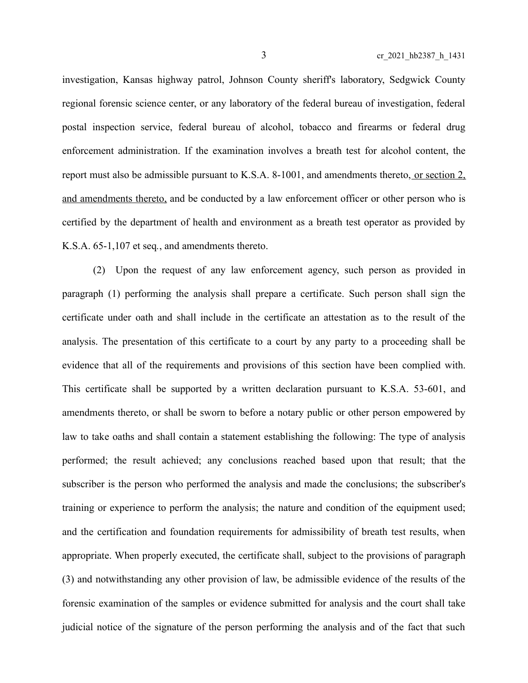investigation, Kansas highway patrol, Johnson County sheriff's laboratory, Sedgwick County regional forensic science center, or any laboratory of the federal bureau of investigation, federal postal inspection service, federal bureau of alcohol, tobacco and firearms or federal drug enforcement administration. If the examination involves a breath test for alcohol content, the report must also be admissible pursuant to K.S.A. 8-1001, and amendments thereto, or section 2, and amendments thereto, and be conducted by a law enforcement officer or other person who is certified by the department of health and environment as a breath test operator as provided by K.S.A. 65-1,107 et seq*.*, and amendments thereto.

(2) Upon the request of any law enforcement agency, such person as provided in paragraph (1) performing the analysis shall prepare a certificate. Such person shall sign the certificate under oath and shall include in the certificate an attestation as to the result of the analysis. The presentation of this certificate to a court by any party to a proceeding shall be evidence that all of the requirements and provisions of this section have been complied with. This certificate shall be supported by a written declaration pursuant to K.S.A. 53-601, and amendments thereto, or shall be sworn to before a notary public or other person empowered by law to take oaths and shall contain a statement establishing the following: The type of analysis performed; the result achieved; any conclusions reached based upon that result; that the subscriber is the person who performed the analysis and made the conclusions; the subscriber's training or experience to perform the analysis; the nature and condition of the equipment used; and the certification and foundation requirements for admissibility of breath test results, when appropriate. When properly executed, the certificate shall, subject to the provisions of paragraph (3) and notwithstanding any other provision of law, be admissible evidence of the results of the forensic examination of the samples or evidence submitted for analysis and the court shall take judicial notice of the signature of the person performing the analysis and of the fact that such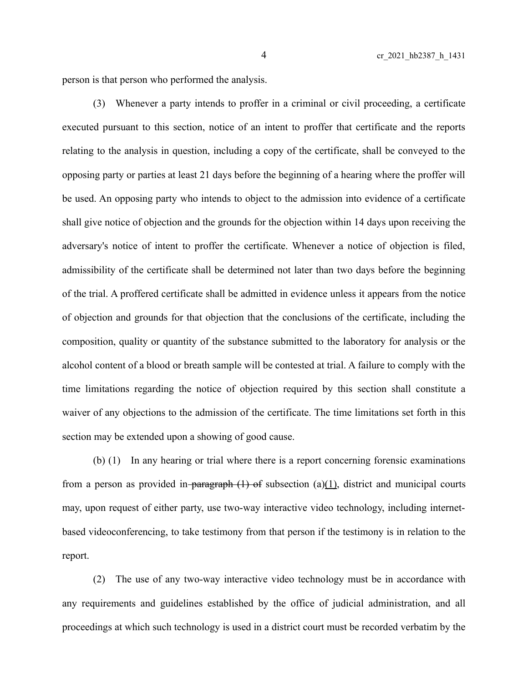person is that person who performed the analysis.

(3) Whenever a party intends to proffer in a criminal or civil proceeding, a certificate executed pursuant to this section, notice of an intent to proffer that certificate and the reports relating to the analysis in question, including a copy of the certificate, shall be conveyed to the opposing party or parties at least 21 days before the beginning of a hearing where the proffer will be used. An opposing party who intends to object to the admission into evidence of a certificate shall give notice of objection and the grounds for the objection within 14 days upon receiving the adversary's notice of intent to proffer the certificate. Whenever a notice of objection is filed, admissibility of the certificate shall be determined not later than two days before the beginning of the trial. A proffered certificate shall be admitted in evidence unless it appears from the notice of objection and grounds for that objection that the conclusions of the certificate, including the composition, quality or quantity of the substance submitted to the laboratory for analysis or the alcohol content of a blood or breath sample will be contested at trial. A failure to comply with the time limitations regarding the notice of objection required by this section shall constitute a waiver of any objections to the admission of the certificate. The time limitations set forth in this section may be extended upon a showing of good cause.

(b) (1) In any hearing or trial where there is a report concerning forensic examinations from a person as provided in-paragraph  $(1)$  of subsection  $(a)(1)$ , district and municipal courts may, upon request of either party, use two-way interactive video technology, including internetbased videoconferencing, to take testimony from that person if the testimony is in relation to the report.

(2) The use of any two-way interactive video technology must be in accordance with any requirements and guidelines established by the office of judicial administration, and all proceedings at which such technology is used in a district court must be recorded verbatim by the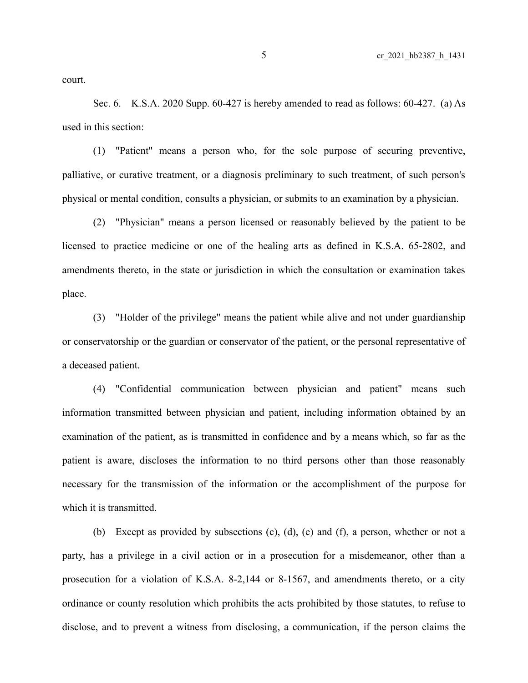court.

Sec. 6. K.S.A. 2020 Supp. 60-427 is hereby amended to read as follows: 60-427. (a) As used in this section:

(1) "Patient" means a person who, for the sole purpose of securing preventive, palliative, or curative treatment, or a diagnosis preliminary to such treatment, of such person's physical or mental condition, consults a physician, or submits to an examination by a physician.

(2) "Physician" means a person licensed or reasonably believed by the patient to be licensed to practice medicine or one of the healing arts as defined in K.S.A. 65-2802, and amendments thereto, in the state or jurisdiction in which the consultation or examination takes place.

(3) "Holder of the privilege" means the patient while alive and not under guardianship or conservatorship or the guardian or conservator of the patient, or the personal representative of a deceased patient.

(4) "Confidential communication between physician and patient" means such information transmitted between physician and patient, including information obtained by an examination of the patient, as is transmitted in confidence and by a means which, so far as the patient is aware, discloses the information to no third persons other than those reasonably necessary for the transmission of the information or the accomplishment of the purpose for which it is transmitted.

(b) Except as provided by subsections (c), (d), (e) and (f), a person, whether or not a party, has a privilege in a civil action or in a prosecution for a misdemeanor, other than a prosecution for a violation of K.S.A. 8-2,144 or 8-1567, and amendments thereto, or a city ordinance or county resolution which prohibits the acts prohibited by those statutes, to refuse to disclose, and to prevent a witness from disclosing, a communication, if the person claims the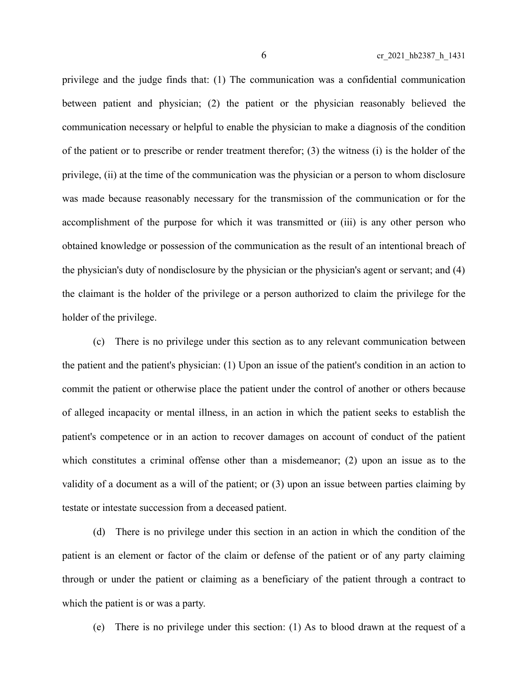privilege and the judge finds that: (1) The communication was a confidential communication between patient and physician; (2) the patient or the physician reasonably believed the communication necessary or helpful to enable the physician to make a diagnosis of the condition of the patient or to prescribe or render treatment therefor; (3) the witness (i) is the holder of the privilege, (ii) at the time of the communication was the physician or a person to whom disclosure was made because reasonably necessary for the transmission of the communication or for the accomplishment of the purpose for which it was transmitted or (iii) is any other person who obtained knowledge or possession of the communication as the result of an intentional breach of the physician's duty of nondisclosure by the physician or the physician's agent or servant; and (4) the claimant is the holder of the privilege or a person authorized to claim the privilege for the holder of the privilege.

(c) There is no privilege under this section as to any relevant communication between the patient and the patient's physician: (1) Upon an issue of the patient's condition in an action to commit the patient or otherwise place the patient under the control of another or others because of alleged incapacity or mental illness, in an action in which the patient seeks to establish the patient's competence or in an action to recover damages on account of conduct of the patient which constitutes a criminal offense other than a misdemeanor; (2) upon an issue as to the validity of a document as a will of the patient; or (3) upon an issue between parties claiming by testate or intestate succession from a deceased patient.

(d) There is no privilege under this section in an action in which the condition of the patient is an element or factor of the claim or defense of the patient or of any party claiming through or under the patient or claiming as a beneficiary of the patient through a contract to which the patient is or was a party.

(e) There is no privilege under this section: (1) As to blood drawn at the request of a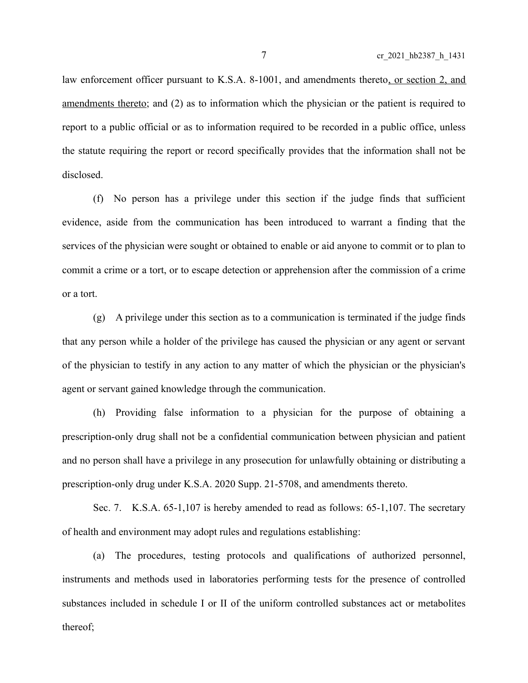law enforcement officer pursuant to K.S.A. 8-1001, and amendments thereto, or section 2, and amendments thereto; and (2) as to information which the physician or the patient is required to report to a public official or as to information required to be recorded in a public office, unless the statute requiring the report or record specifically provides that the information shall not be disclosed.

(f) No person has a privilege under this section if the judge finds that sufficient evidence, aside from the communication has been introduced to warrant a finding that the services of the physician were sought or obtained to enable or aid anyone to commit or to plan to commit a crime or a tort, or to escape detection or apprehension after the commission of a crime or a tort.

(g) A privilege under this section as to a communication is terminated if the judge finds that any person while a holder of the privilege has caused the physician or any agent or servant of the physician to testify in any action to any matter of which the physician or the physician's agent or servant gained knowledge through the communication.

(h) Providing false information to a physician for the purpose of obtaining a prescription-only drug shall not be a confidential communication between physician and patient and no person shall have a privilege in any prosecution for unlawfully obtaining or distributing a prescription-only drug under K.S.A. 2020 Supp. 21-5708, and amendments thereto.

Sec. 7. K.S.A. 65-1,107 is hereby amended to read as follows: 65-1,107. The secretary of health and environment may adopt rules and regulations establishing:

(a) The procedures, testing protocols and qualifications of authorized personnel, instruments and methods used in laboratories performing tests for the presence of controlled substances included in schedule I or II of the uniform controlled substances act or metabolites thereof;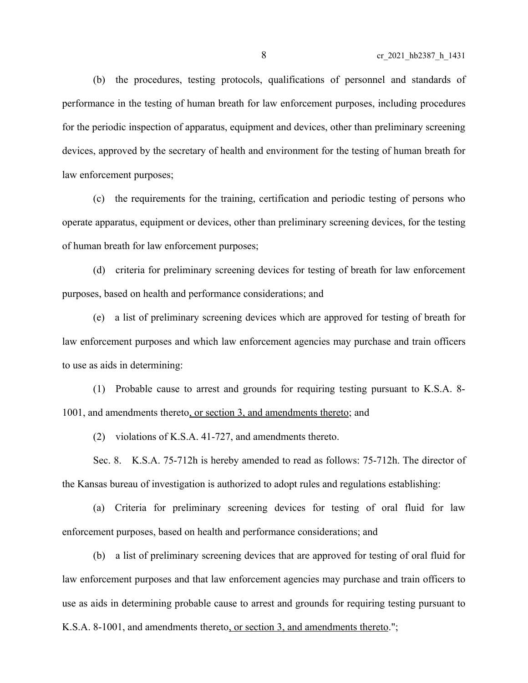(b) the procedures, testing protocols, qualifications of personnel and standards of performance in the testing of human breath for law enforcement purposes, including procedures for the periodic inspection of apparatus, equipment and devices, other than preliminary screening devices, approved by the secretary of health and environment for the testing of human breath for law enforcement purposes;

(c) the requirements for the training, certification and periodic testing of persons who operate apparatus, equipment or devices, other than preliminary screening devices, for the testing of human breath for law enforcement purposes;

(d) criteria for preliminary screening devices for testing of breath for law enforcement purposes, based on health and performance considerations; and

(e) a list of preliminary screening devices which are approved for testing of breath for law enforcement purposes and which law enforcement agencies may purchase and train officers to use as aids in determining:

(1) Probable cause to arrest and grounds for requiring testing pursuant to K.S.A. 8- 1001, and amendments thereto, or section 3, and amendments thereto; and

(2) violations of K.S.A. 41-727, and amendments thereto.

Sec. 8. K.S.A. 75-712h is hereby amended to read as follows: 75-712h. The director of the Kansas bureau of investigation is authorized to adopt rules and regulations establishing:

(a) Criteria for preliminary screening devices for testing of oral fluid for law enforcement purposes, based on health and performance considerations; and

(b) a list of preliminary screening devices that are approved for testing of oral fluid for law enforcement purposes and that law enforcement agencies may purchase and train officers to use as aids in determining probable cause to arrest and grounds for requiring testing pursuant to K.S.A. 8-1001, and amendments thereto, or section 3, and amendments thereto.";